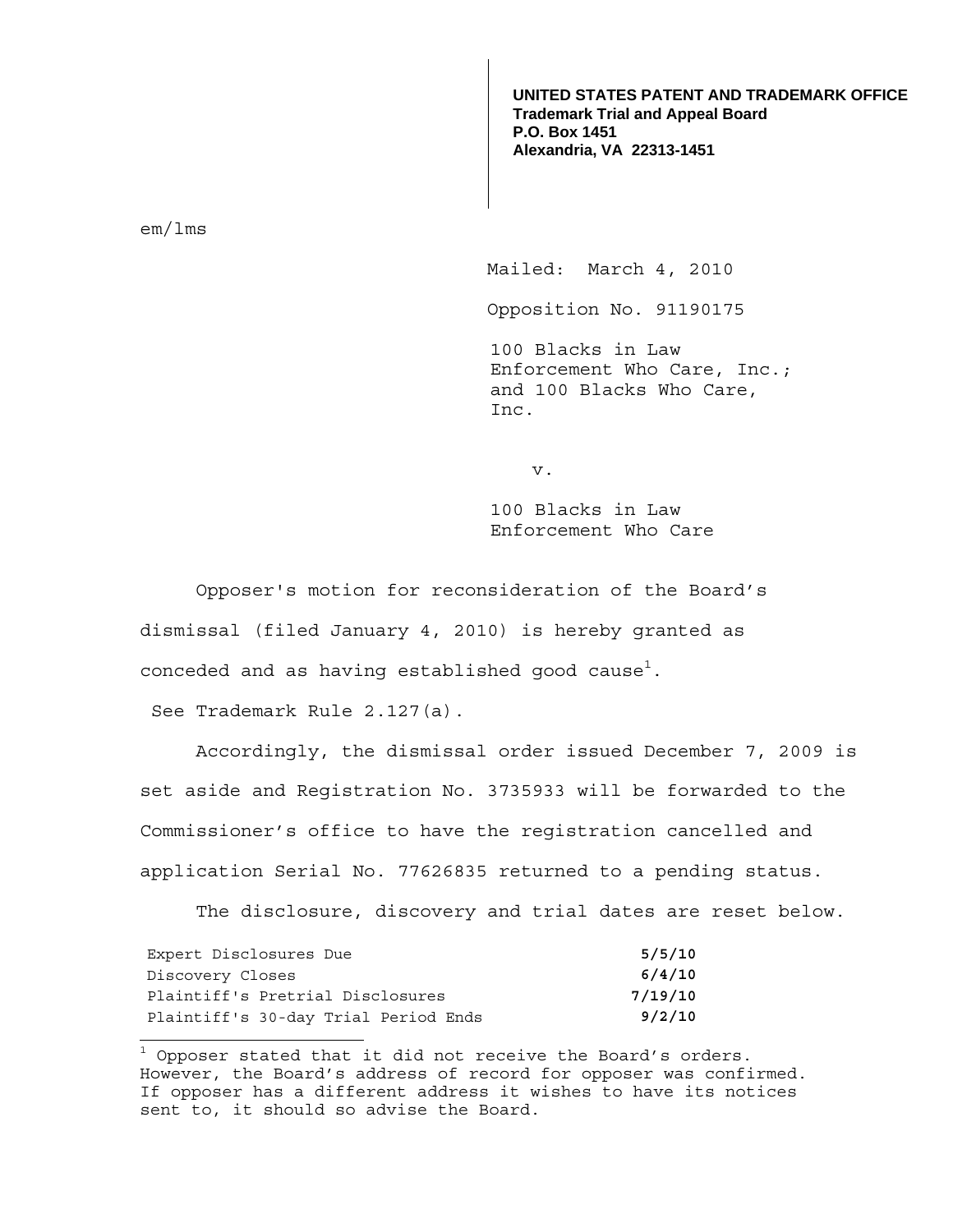**UNITED STATES PATENT AND TRADEMARK OFFICE Trademark Trial and Appeal Board P.O. Box 1451 Alexandria, VA 22313-1451**

em/lms

 $\overline{a}$ 

Mailed: March 4, 2010

Opposition No. 91190175

100 Blacks in Law Enforcement Who Care, Inc.; and 100 Blacks Who Care, Inc.

v.

100 Blacks in Law Enforcement Who Care

 Opposer's motion for reconsideration of the Board's dismissal (filed January 4, 2010) is hereby granted as conceded and as having established good cause $^{\rm l}$ .

See Trademark Rule 2.127(a).

Accordingly, the dismissal order issued December 7, 2009 is set aside and Registration No. 3735933 will be forwarded to the Commissioner's office to have the registration cancelled and application Serial No. 77626835 returned to a pending status.

The disclosure, discovery and trial dates are reset below.

| Expert Disclosures Due               | 5/5/10  |
|--------------------------------------|---------|
| Discovery Closes                     | 6/4/10  |
| Plaintiff's Pretrial Disclosures     | 7/19/10 |
| Plaintiff's 30-day Trial Period Ends | 9/2/10  |

 $^{\rm 1}$  Opposer stated that it did not receive the Board's orders. However, the Board's address of record for opposer was confirmed. If opposer has a different address it wishes to have its notices sent to, it should so advise the Board.